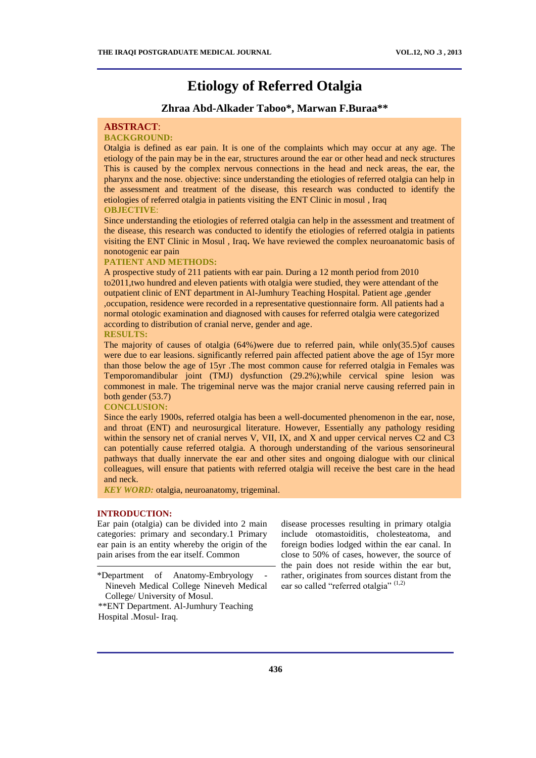# **Etiology of Referred Otalgia**

# **Zhraa Abd-Alkader Taboo\*, Marwan F.Buraa\*\***

# **ABSTRACT**:

#### **BACKGROUND:**

Otalgia is defined as ear pain. It is one of the complaints which may occur at any age. The etiology of the pain may be in the ear, structures around the ear or other head and neck structures This is caused by the complex nervous connections in the head and neck areas, the ear, the pharynx and the nose. objective: since understanding the etiologies of referred otalgia can help in the assessment and treatment of the disease, this research was conducted to identify the etiologies of referred otalgia in patients visiting the ENT Clinic in mosul , Iraq **OBJECTIVE**:

Since understanding the etiologies of referred otalgia can help in the assessment and treatment of the disease, this research was conducted to identify the etiologies of referred otalgia in patients visiting the ENT Clinic in Mosul , Iraq**.** We have reviewed the complex neuroanatomic basis of nonotogenic ear pain

#### **PATIENT AND METHODS:**

A prospective study of 211 patients with ear pain. During a 12 month period from 2010 to2011,two hundred and eleven patients with otalgia were studied, they were attendant of the outpatient clinic of ENT department in Al-Jumhury Teaching Hospital. Patient age ,gender ,occupation, residence were recorded in a representative questionnaire form. All patients had a normal otologic examination and diagnosed with causes for referred otalgia were categorized according to distribution of cranial nerve, gender and age. **RESULTS:** 

The majority of causes of otalgia (64%)were due to referred pain, while only(35.5)of causes were due to ear leasions. significantly referred pain affected patient above the age of 15yr more than those below the age of 15yr .The most common cause for referred otalgia in Females was Temporomandibular joint (TMJ) dysfunction (29.2%);while cervical spine lesion was commonest in male. The trigeminal nerve was the major cranial nerve causing referred pain in both gender (53.7)

#### **CONCLUSION:**

Since the early 1900s, referred otalgia has been a well-documented phenomenon in the ear, nose, and throat (ENT) and neurosurgical literature. However, Essentially any pathology residing within the sensory net of cranial nerves V, VII, IX, and X and upper cervical nerves C2 and C3 can potentially cause referred otalgia. A thorough understanding of the various sensorineural pathways that dually innervate the ear and other sites and ongoing dialogue with our clinical colleagues, will ensure that patients with referred otalgia will receive the best care in the head and neck.

*KEY WORD:* otalgia, neuroanatomy, trigeminal.

#### **INTRODUCTION:**

Ear pain (otalgia) can be divided into 2 main categories: primary and secondary.1 Primary ear pain is an entity whereby the origin of the pain arises from the ear itself. Common

- \*Department of Anatomy-Embryology Nineveh Medical College Nineveh Medical College/ University of Mosul.
- \*\*ENT Department. Al-Jumhury Teaching Hospital .Mosul- Iraq.

disease processes resulting in primary otalgia include otomastoiditis, cholesteatoma, and foreign bodies lodged within the ear canal. In close to 50% of cases, however, the source of the pain does not reside within the ear but, rather, originates from sources distant from the ear so called "referred otalgia" (1,2)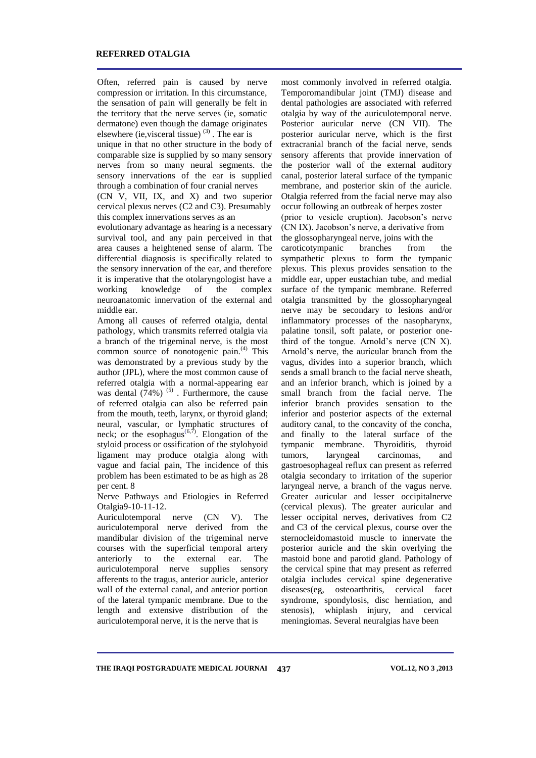Often, referred pain is caused by nerve compression or irritation. In this circumstance, the sensation of pain will generally be felt in the territory that the nerve serves (ie, somatic dermatone) even though the damage originates elsewhere (ie,visceral tissue) (3) . The ear is

unique in that no other structure in the body of comparable size is supplied by so many sensory nerves from so many neural segments. the sensory innervations of the ear is supplied through a combination of four cranial nerves

(CN V, VII, IX, and X) and two superior cervical plexus nerves (C2 and C3). Presumably this complex innervations serves as an

evolutionary advantage as hearing is a necessary survival tool, and any pain perceived in that area causes a heightened sense of alarm. The differential diagnosis is specifically related to the sensory innervation of the ear, and therefore it is imperative that the otolaryngologist have a working knowledge of the complex neuroanatomic innervation of the external and middle ear.

Among all causes of referred otalgia, dental pathology, which transmits referred otalgia via a branch of the trigeminal nerve, is the most common source of nonotogenic pain. $(4)$  This was demonstrated by a previous study by the author (JPL), where the most common cause of referred otalgia with a normal-appearing ear was dental  $(74\%)$ <sup>(5)</sup>. Furthermore, the cause of referred otalgia can also be referred pain from the mouth, teeth, larynx, or thyroid gland; neural, vascular, or lymphatic structures of neck; or the esophagus<sup> $(6,7)$ </sup>. Elongation of the styloid process or ossification of the stylohyoid ligament may produce otalgia along with vague and facial pain, The incidence of this problem has been estimated to be as high as 28 per cent. 8

Nerve Pathways and Etiologies in Referred Otalgia9-10-11-12.

Auriculotemporal nerve (CN V). The auriculotemporal nerve derived from the mandibular division of the trigeminal nerve courses with the superficial temporal artery anteriorly to the external ear. The auriculotemporal nerve supplies sensory afferents to the tragus, anterior auricle, anterior wall of the external canal, and anterior portion of the lateral tympanic membrane. Due to the length and extensive distribution of the auriculotemporal nerve, it is the nerve that is

most commonly involved in referred otalgia. Temporomandibular joint (TMJ) disease and dental pathologies are associated with referred otalgia by way of the auriculotemporal nerve. Posterior auricular nerve (CN VII). The posterior auricular nerve, which is the first extracranial branch of the facial nerve, sends sensory afferents that provide innervation of the posterior wall of the external auditory canal, posterior lateral surface of the tympanic membrane, and posterior skin of the auricle. Otalgia referred from the facial nerve may also occur following an outbreak of herpes zoster (prior to vesicle eruption). Jacobson's nerve (CN IX). Jacobson's nerve, a derivative from the glossopharyngeal nerve, joins with the caroticotympanic branches from the sympathetic plexus to form the tympanic plexus. This plexus provides sensation to the middle ear, upper eustachian tube, and medial surface of the tympanic membrane. Referred otalgia transmitted by the glossopharyngeal nerve may be secondary to lesions and/or inflammatory processes of the nasopharynx, palatine tonsil, soft palate, or posterior onethird of the tongue. Arnold's nerve (CN X). Arnold's nerve, the auricular branch from the vagus, divides into a superior branch, which sends a small branch to the facial nerve sheath, and an inferior branch, which is joined by a small branch from the facial nerve. The inferior branch provides sensation to the inferior and posterior aspects of the external auditory canal, to the concavity of the concha, and finally to the lateral surface of the tympanic membrane. Thyroiditis, thyroid tumors, laryngeal carcinomas, and gastroesophageal reflux can present as referred otalgia secondary to irritation of the superior laryngeal nerve, a branch of the vagus nerve. Greater auricular and lesser occipitalnerve (cervical plexus). The greater auricular and lesser occipital nerves, derivatives from C2 and C3 of the cervical plexus, course over the sternocleidomastoid muscle to innervate the posterior auricle and the skin overlying the mastoid bone and parotid gland. Pathology of the cervical spine that may present as referred otalgia includes cervical spine degenerative diseases(eg, osteoarthritis, cervical facet syndrome, spondylosis, disc herniation, and stenosis), whiplash injury, and cervical meningiomas. Several neuralgias have been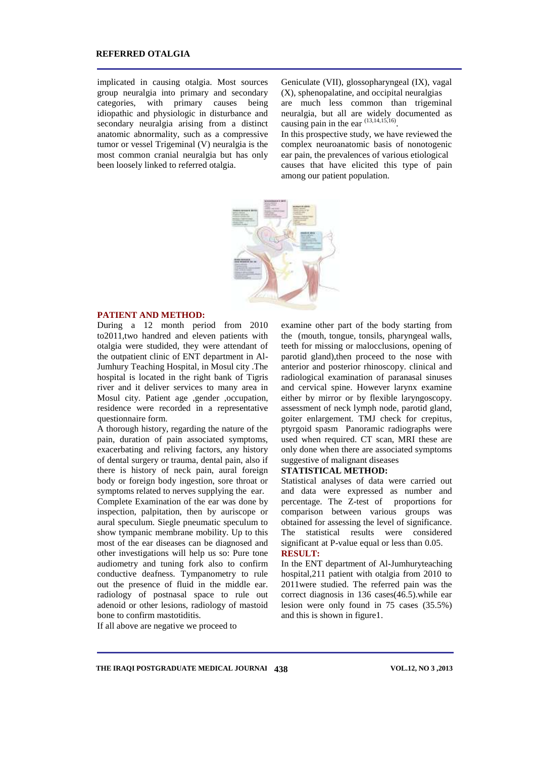### **REFERRED OTALGIA**

implicated in causing otalgia. Most sources group neuralgia into primary and secondary categories, with primary causes being idiopathic and physiologic in disturbance and secondary neuralgia arising from a distinct anatomic abnormality, such as a compressive tumor or vessel Trigeminal (V) neuralgia is the most common cranial neuralgia but has only been loosely linked to referred otalgia.

Geniculate (VII), glossopharyngeal (IX), vagal (X), sphenopalatine, and occipital neuralgias are much less common than trigeminal neuralgia, but all are widely documented as causing pain in the ear  $(13,14,15,16)$ . In this prospective study, we have reviewed the

complex neuroanatomic basis of nonotogenic ear pain, the prevalences of various etiological causes that have elicited this type of pain among our patient population.



#### **PATIENT AND METHOD:**

During a 12 month period from 2010 to2011,two handred and eleven patients with otalgia were studided, they were attendant of the outpatient clinic of ENT department in Al-Jumhury Teaching Hospital, in Mosul city .The hospital is located in the right bank of Tigris river and it deliver services to many area in Mosul city. Patient age ,gender ,occupation, residence were recorded in a representative questionnaire form.

A thorough history, regarding the nature of the pain, duration of pain associated symptoms, exacerbating and reliving factors, any history of dental surgery or trauma, dental pain, also if there is history of neck pain, aural foreign body or foreign body ingestion, sore throat or symptoms related to nerves supplying the ear. Complete Examination of the ear was done by inspection, palpitation, then by auriscope or aural speculum. Siegle pneumatic speculum to show tympanic membrane mobility. Up to this most of the ear diseases can be diagnosed and other investigations will help us so: Pure tone audiometry and tuning fork also to confirm conductive deafness. Tympanometry to rule out the presence of fluid in the middle ear. radiology of postnasal space to rule out adenoid or other lesions, radiology of mastoid bone to confirm mastotiditis.

examine other part of the body starting from the (mouth, tongue, tonsils, pharyngeal walls, teeth for missing or malocclusions, opening of parotid gland),then proceed to the nose with anterior and posterior rhinoscopy. clinical and radiological examination of paranasal sinuses and cervical spine. However larynx examine either by mirror or by flexible laryngoscopy. assessment of neck lymph node, parotid gland, goiter enlargement. TMJ check for crepitus, ptyrgoid spasm Panoramic radiographs were used when required. CT scan, MRI these are only done when there are associated symptoms suggestive of malignant diseases

#### **STATISTICAL METHOD:**

Statistical analyses of data were carried out and data were expressed as number and percentage. The Z-test of proportions for comparison between various groups was obtained for assessing the level of significance. The statistical results were considered significant at P-value equal or less than 0.05. **RESULT:**

In the ENT department of Al-Jumhuryteaching hospital,211 patient with otalgia from 2010 to 2011were studied. The referred pain was the correct diagnosis in 136 cases(46.5).while ear lesion were only found in 75 cases (35.5%) and this is shown in figure1.

If all above are negative we proceed to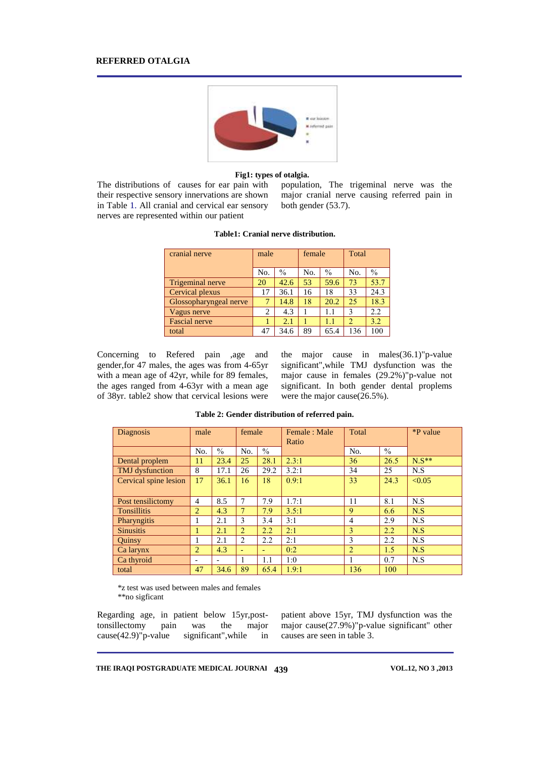

#### **Fig1: types of otalgia.**

The distributions of causes for ear pain with their respective sensory innervations are shown in Table 1. All cranial and cervical ear sensory nerves are represented within our patient

population, The trigeminal nerve was the major cranial nerve causing referred pain in both gender (53.7).

| cranial nerve          | male |      | female |               | Total          |               |  |
|------------------------|------|------|--------|---------------|----------------|---------------|--|
|                        |      |      |        |               |                |               |  |
|                        | No.  | $\%$ | No.    | $\frac{0}{0}$ | No.            | $\frac{0}{0}$ |  |
| Trigeminal nerve       | 20   | 42.6 | 53     | 59.6          | 73             | 53.7          |  |
| Cervical plexus        | 17   | 36.1 | 16     | 18            | 33             | 24.3          |  |
| Glossopharyngeal nerve | 7    | 14.8 | 18     | 20.2          | 25             | 18.3          |  |
| Vagus nerve            | 2    | 4.3  |        | 1.1           | 3              | 2.2           |  |
| <b>Fascial nerve</b>   |      | 2.1  |        | 1.1           | $\mathfrak{D}$ | 3.2           |  |
| total                  | 47   | 34.6 | 89     | 65.4          | 136            | 100           |  |

# **Table1: Cranial nerve distribution.**

Concerning to Refered pain ,age and gender,for 47 males, the ages was from 4-65yr with a mean age of 42yr, while for 89 females, the ages ranged from 4-63yr with a mean age of 38yr. table2 show that cervical lesions were the major cause in males(36.1)"p-value significant",while TMJ dysfunction was the major cause in females (29.2%)"p-value not significant. In both gender dental proplems were the major cause(26.5%).

**Table 2: Gender distribution of referred pain.**

| Diagnosis             | male           |                              | female         |                          | Female: Male<br>Ratio | <b>Total</b>   |               | <b>*P</b> value |  |
|-----------------------|----------------|------------------------------|----------------|--------------------------|-----------------------|----------------|---------------|-----------------|--|
|                       | No.            | $\frac{0}{0}$                | No.            | $\frac{0}{0}$            |                       | No.            | $\frac{0}{0}$ |                 |  |
| Dental proplem        | 11             | 23.4                         | 25             | 28.1                     | 2.3:1                 | 36             | 26.5          | $N.S**$         |  |
| TMJ dysfunction       | 8              | 17.1                         | 26             | 29.2                     | 3.2:1                 | 34             | 25            | N.S             |  |
| Cervical spine lesion | 17             | 36.1                         | 16             | 18                       | 0.9:1                 | 33             | 24.3          | < 0.05          |  |
|                       |                |                              |                |                          |                       |                |               |                 |  |
| Post tensilictomy     | 4              | 8.5                          | 7              | 7.9                      | 1.7:1                 | 11             | 8.1           | N.S             |  |
| <b>Tonsillitis</b>    | $\overline{2}$ | 4.3                          |                | 7.9                      | 3.5:1                 | 9              | 6.6           | N.S             |  |
| Pharyngitis           |                | 2.1                          | 3              | 3.4                      | 3:1                   | $\overline{4}$ | 2.9           | N.S             |  |
| <b>Sinusitis</b>      |                | 2.1                          | $\overline{2}$ | 2.2                      | 2:1                   | 3              | 2.2           | N.S             |  |
| Quinsy                |                | 2.1                          | 2              | 2.2                      | 2:1                   | 3              | 2.2           | N.S             |  |
| Ca larynx             | $\overline{2}$ | 4.3                          |                | $\overline{\phantom{0}}$ | 0:2                   | $\overline{2}$ | 1.5           | N.S             |  |
| Ca thyroid            |                | $\qquad \qquad \blacksquare$ |                | 1.1                      | 1:0                   |                | 0.7           | N.S             |  |
| total                 | 47             | 34.6                         | 89             | 65.4                     | 1.9:1                 | 136            | 100           |                 |  |

 \*z test was used between males and females \*\*no sigficant

Regarding age, in patient below 15yr,posttonsillectomy pain was the major cause(42.9)"p-value significant",while in patient above 15yr, TMJ dysfunction was the major cause(27.9%)"p-value significant" other causes are seen in table 3.

**149** THE IRAQI POSTGRADUATE MEDICAL JOURNAL 439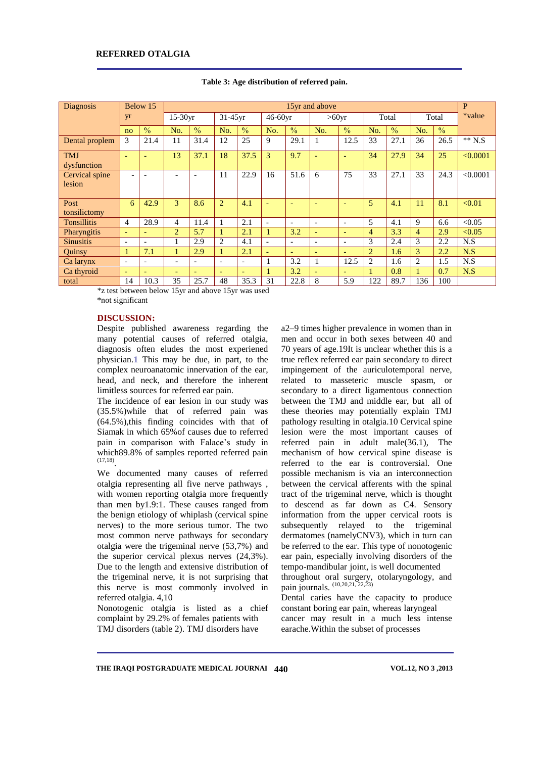| <b>Diagnosis</b>                      |                          | Below 15                 | 15yr and above           |                          |                |                |                          |                          |                |                          |                |               | P              |               |          |
|---------------------------------------|--------------------------|--------------------------|--------------------------|--------------------------|----------------|----------------|--------------------------|--------------------------|----------------|--------------------------|----------------|---------------|----------------|---------------|----------|
|                                       | yr                       |                          | $15-30yr$                |                          | $31-45$ yr     |                | $46-60yr$                |                          | $>60$ yr       |                          | Total          |               | Total          |               | *value   |
|                                       | no                       | $\frac{0}{0}$            | No.                      | $\frac{0}{0}$            | No.            | $\frac{0}{0}$  | No.                      | $\frac{0}{0}$            | No.            | $\frac{0}{0}$            | No.            | $\frac{0}{0}$ | No.            | $\frac{0}{0}$ |          |
| Dental proplem                        | 3                        | 21.4                     | 11                       | 31.4                     | 12             | 25             | 9                        | 29.1                     |                | 12.5                     | 33             | 27.1          | 36             | 26.5          | $**$ N.S |
| <b>TMJ</b><br>dysfunction             | $\overline{\phantom{0}}$ |                          | 13                       | 37.1                     | 18             | 37.5           | 3                        | 9.7                      |                | $\overline{\phantom{0}}$ | 34             | 27.9          | 34             | 25            | < 0.0001 |
| Cervical spine<br>lesion              | $\overline{\phantom{a}}$ |                          |                          |                          | 11             | 22.9           | 16                       | 51.6                     | 6              | 75                       | 33             | 27.1          | 33             | 24.3          | < 0.0001 |
| Post<br>tonsilictomy                  | 6                        | 42.9                     | 3                        | 8.6                      | $\overline{2}$ | 4.1            |                          |                          |                | $\overline{\phantom{0}}$ | 5              | 4.1           | 11             | 8.1           | < 0.01   |
| <b>Tonsillitis</b>                    | $\overline{4}$           | 28.9                     | 4                        | 11.4                     | 1              | 2.1            | $\overline{\phantom{0}}$ | $\overline{\phantom{0}}$ | $\blacksquare$ | ٠                        | 5              | 4.1           | 9              | 6.6           | < 0.05   |
| Pharyngitis                           | $\overline{\phantom{0}}$ | $\blacksquare$           | $\overline{2}$           | 5.7                      |                | 2.1            |                          | 3.2                      | ٠              | ٠                        | 4              | 3.3           | 4              | 2.9           | < 0.05   |
| <b>Sinusitis</b>                      | $\overline{\phantom{a}}$ | $\overline{\phantom{0}}$ |                          | 2.9                      | $\overline{c}$ | 4.1            | $\overline{\phantom{a}}$ | $\overline{\phantom{a}}$ | ٠              | ٠                        | 3              | 2.4           | 3              | 2.2           | N.S      |
| Quinsy                                |                          | 7.1                      | 1                        | 2.9                      |                | 2.1            | $\overline{\phantom{0}}$ | ٠                        | ٠              | ٠                        | $\overline{2}$ | 1.6           | 3              | 2.2           | N.S      |
| Ca larynx                             | $\overline{\phantom{a}}$ | $\overline{\phantom{0}}$ | $\overline{\phantom{a}}$ | $\overline{\phantom{a}}$ | ٠              | $\blacksquare$ |                          | 3.2                      |                | 12.5                     | $\overline{2}$ | 1.6           | $\overline{2}$ | 1.5           | N.S      |
| Ca thyroid                            | ٠                        | ۰                        | ٠                        | $\blacksquare$           | ٠              | ٠              |                          | 3.2                      | ٠              | ٠                        |                | 0.8           |                | 0.7           | N.S      |
| total<br>and the contract of the con- | 14                       | 10.3<br>$\mathbf{u}$     | 35<br>$\sim$             | 25.7<br>$\mathbf{r}$     | 48<br>$\sim$   | 35.3           | 31                       | 22.8                     | 8              | 5.9                      | 122            | 89.7          | 136            | 100           |          |

#### **Table 3: Age distribution of referred pain.**

\*z test between below 15yr and above 15yr was used \*not significant

#### **DISCUSSION:**

Despite published awareness regarding the many potential causes of referred otalgia, diagnosis often eludes the most experiened physician.1 This may be due, in part, to the complex neuroanatomic innervation of the ear, head, and neck, and therefore the inherent limitless sources for referred ear pain.

The incidence of ear lesion in our study was (35.5%)while that of referred pain was (64.5%),this finding coincides with that of Siamak in which 65%of causes due to referred pain in comparison with Falace's study in which89.8% of samples reported referred pain (17,18) .

We documented many causes of referred otalgia representing all five nerve pathways , with women reporting otalgia more frequently than men by1.9:1. These causes ranged from the benign etiology of whiplash (cervical spine nerves) to the more serious tumor. The two most common nerve pathways for secondary otalgia were the trigeminal nerve (53,7%) and the superior cervical plexus nerves (24,3%). Due to the length and extensive distribution of the trigeminal nerve, it is not surprising that this nerve is most commonly involved in referred otalgia. 4,10

Nonotogenic otalgia is listed as a chief complaint by 29.2% of females patients with TMJ disorders (table 2). TMJ disorders have

a2–9 times higher prevalence in women than in men and occur in both sexes between 40 and 70 years of age.19It is unclear whether this is a true reflex referred ear pain secondary to direct impingement of the auriculotemporal nerve, related to masseteric muscle spasm, or secondary to a direct ligamentous connection between the TMJ and middle ear, but all of these theories may potentially explain TMJ pathology resulting in otalgia.10 Cervical spine lesion were the most important causes of referred pain in adult male(36.1), The mechanism of how cervical spine disease is referred to the ear is controversial. One possible mechanism is via an interconnection between the cervical afferents with the spinal tract of the trigeminal nerve, which is thought to descend as far down as C4. Sensory information from the upper cervical roots is subsequently relayed to the trigeminal dermatomes (namelyCNV3), which in turn can be referred to the ear. This type of nonotogenic ear pain, especially involving disorders of the tempo-mandibular joint, is well documented throughout oral surgery, otolaryngology, and pain journals. (10,20,21, 22,23)

Dental caries have the capacity to produce constant boring ear pain, whereas laryngeal cancer may result in a much less intense earache.Within the subset of processes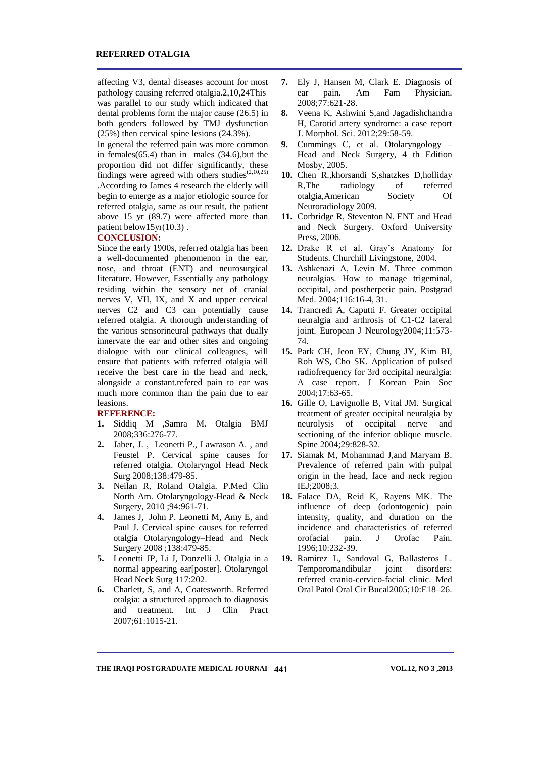affecting V3, dental diseases account for most pathology causing referred otalgia.2,10,24This was parallel to our study which indicated that dental problems form the major cause (26.5) in both genders followed by TMJ dysfunction (25%) then cervical spine lesions (24.3%).

In general the referred pain was more common in females $(65.4)$  than in males  $(34.6)$ , but the proportion did not differ significantly, these findings were agreed with others studies<sup> $(2,10,25)$ </sup> .According to James 4 research the elderly will begin to emerge as a major etiologic source for referred otalgia, same as our result, the patient above 15 yr (89.7) were affected more than patient below15yr(10.3).

# **CONCLUSION:**

Since the early 1900s, referred otalgia has been a well-documented phenomenon in the ear, nose, and throat (ENT) and neurosurgical literature. However, Essentially any pathology residing within the sensory net of cranial nerves V, VII, IX, and X and upper cervical nerves C2 and C3 can potentially cause referred otalgia. A thorough understanding of the various sensorineural pathways that dually innervate the ear and other sites and ongoing dialogue with our clinical colleagues, will ensure that patients with referred otalgia will receive the best care in the head and neck, alongside a constant.refered pain to ear was much more common than the pain due to ear leasions.

#### **REFERENCE:**

- **1.** Siddiq M ,Samra M. Otalgia BMJ 2008;336:276-77.
- **2.** Jaber, J. , Leonetti P., Lawrason A. , and Feustel P. Cervical spine causes for referred otalgia. Otolaryngol Head Neck Surg 2008;138:479-85.
- **3.** Neilan R, Roland Otalgia. P[.Med Clin](http://www.ncbi.nlm.nih.gov/pubmed/20736106)  [North Am.](http://www.ncbi.nlm.nih.gov/pubmed/20736106) Otolaryngology-Head & Neck Surgery, 2010 ;94:961-71.
- **4.** James J, John P. Leonetti M, Amy E, and Paul J. Cervical spine causes for referred otalgia Otolaryngology–Head and Neck Surgery 2008 ;138:479-85.
- **5.** Leonetti JP, Li J, Donzelli J. Otalgia in a normal appearing ear[poster]. Otolaryngol Head Neck Surg 117:202.
- **6.** Charlett, S, and A, Coatesworth. Referred otalgia: a structured approach to diagnosis and treatment. Int J Clin Pract 2007;61:1015-21.
- **7.** Ely J, Hansen M, Clark E. Diagnosis of ear pain. Am Fam Physician. 2008;77:621-28.
- **8.** Veena K, Ashwini S,and Jagadishchandra H, Carotid artery syndrome: a case report J. Morphol. Sci. 2012;29:58-59.
- **9.** Cummings C, et al. Otolaryngology Head and Neck Surgery, 4 th Edition Mosby, 2005.
- **10.** Chen R.,khorsandi S,shatzkes D,holliday R,The radiology of referred otalgia,American Society Of Neuroradiology 2009.
- **11.** Corbridge R, Steventon N. ENT and Head and Neck Surgery. Oxford University Press, 2006.
- **12.** Drake R et al. Gray's Anatomy for Students. Churchill Livingstone, 2004.
- **13.** Ashkenazi A, Levin M. Three common neuralgias. How to manage trigeminal, occipital, and postherpetic pain. Postgrad Med. 2004;116:16-4, 31.
- **14.** Trancredi A, Caputti F. Greater occipital neuralgia and arthrosis of C1-C2 lateral joint. European J Neurology2004;11:573- 74.
- **15.** Park CH, Jeon EY, Chung JY, Kim BI, Roh WS, Cho SK. Application of pulsed radiofrequency for 3rd occipital neuralgia: A case report. J Korean Pain Soc 2004;17:63-65.
- **16.** Gille O, Lavignolle B, Vital JM. Surgical treatment of greater occipital neuralgia by neurolysis of occipital nerve and sectioning of the inferior oblique muscle. Spine 2004;29:828-32.
- **17.** Siamak M, Mohammad J,and Maryam B. Prevalence of referred pain with pulpal origin in the head, face and neck region IEJ;2008;3.
- **18.** Falace DA, Reid K, Rayens MK. The influence of deep (odontogenic) pain intensity, quality, and duration on the incidence and characteristics of referred orofacial pain. J Orofac Pain. 1996;10:232-39.
- **19.** Ramirez L, Sandoval G, Ballasteros L. Temporomandibular joint disorders: referred cranio-cervico-facial clinic. Med Oral Patol Oral Cir Bucal2005;10:E18–26.